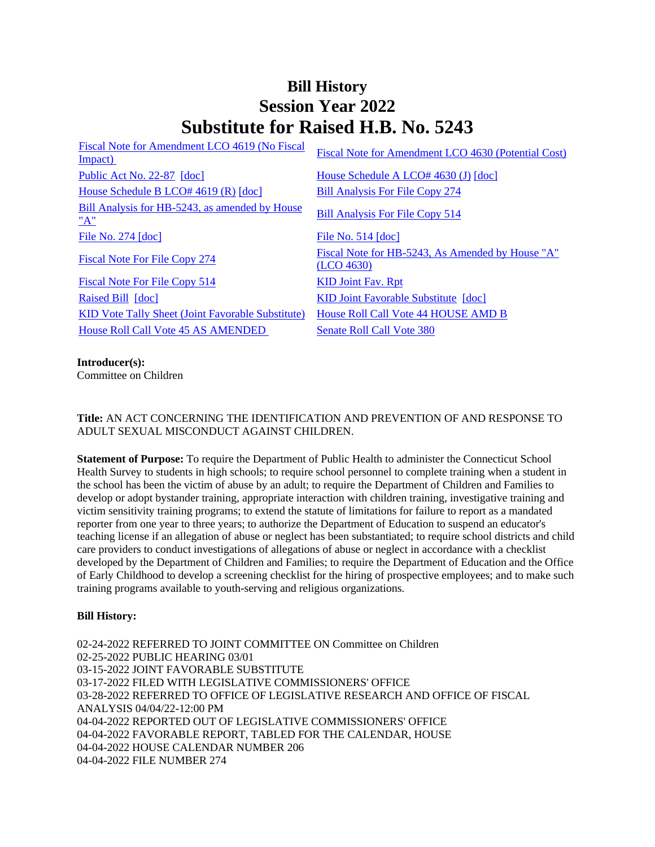# **Bill History Session Year 2022 Substitute for Raised H.B. No. 5243**

| Fiscal Note for Amendment LCO 4619 (No Fiscal<br>Impact) | Fiscal Note for Amendment LCO 4630 (Potential Cost)            |
|----------------------------------------------------------|----------------------------------------------------------------|
| Public Act No. 22-87 [doc]                               | House Schedule A LCO# 4630 (J) [doc]                           |
| House Schedule B LCO# $4619(R)$ [doc]                    | <b>Bill Analysis For File Copy 274</b>                         |
| Bill Analysis for HB-5243, as amended by House<br>"A"    | <b>Bill Analysis For File Copy 514</b>                         |
| File No. 274 [doc]                                       | File No. $514$ [doc]                                           |
| <b>Fiscal Note For File Copy 274</b>                     | Fiscal Note for HB-5243, As Amended by House "A"<br>(LCO 4630) |
| <b>Fiscal Note For File Copy 514</b>                     | <b>KID Joint Fav. Rpt</b>                                      |
| Raised Bill [doc]                                        | KID Joint Favorable Substitute [doc]                           |
| <b>KID Vote Tally Sheet (Joint Favorable Substitute)</b> | House Roll Call Vote 44 HOUSE AMD B                            |
| House Roll Call Vote 45 AS AMENDED                       | Senate Roll Call Vote 380                                      |
|                                                          |                                                                |

## **Introducer(s):**

Committee on Children

## **Title:** AN ACT CONCERNING THE IDENTIFICATION AND PREVENTION OF AND RESPONSE TO ADULT SEXUAL MISCONDUCT AGAINST CHILDREN.

**Statement of Purpose:** To require the Department of Public Health to administer the Connecticut School Health Survey to students in high schools; to require school personnel to complete training when a student in the school has been the victim of abuse by an adult; to require the Department of Children and Families to develop or adopt bystander training, appropriate interaction with children training, investigative training and victim sensitivity training programs; to extend the statute of limitations for failure to report as a mandated reporter from one year to three years; to authorize the Department of Education to suspend an educator's teaching license if an allegation of abuse or neglect has been substantiated; to require school districts and child care providers to conduct investigations of allegations of abuse or neglect in accordance with a checklist developed by the Department of Children and Families; to require the Department of Education and the Office of Early Childhood to develop a screening checklist for the hiring of prospective employees; and to make such training programs available to youth-serving and religious organizations.

#### **Bill History:**

02-24-2022 REFERRED TO JOINT COMMITTEE ON Committee on Children 02-25-2022 PUBLIC HEARING 03/01 03-15-2022 JOINT FAVORABLE SUBSTITUTE 03-17-2022 FILED WITH LEGISLATIVE COMMISSIONERS' OFFICE 03-28-2022 REFERRED TO OFFICE OF LEGISLATIVE RESEARCH AND OFFICE OF FISCAL ANALYSIS 04/04/22-12:00 PM 04-04-2022 REPORTED OUT OF LEGISLATIVE COMMISSIONERS' OFFICE 04-04-2022 FAVORABLE REPORT, TABLED FOR THE CALENDAR, HOUSE 04-04-2022 HOUSE CALENDAR NUMBER 206 04-04-2022 FILE NUMBER 274